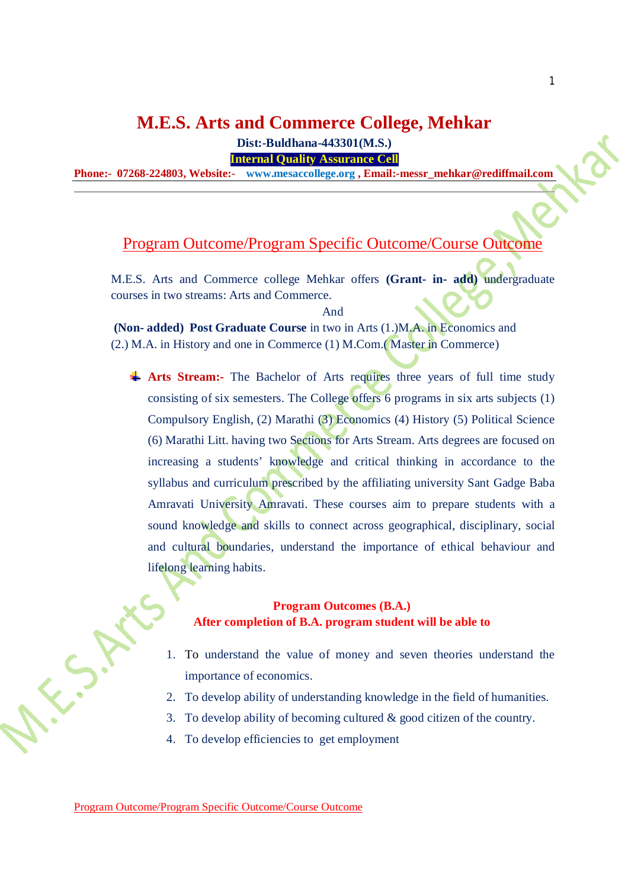# **M.E.S. Arts and Commerce College, Mehkar**

**Dist:-Buldhana-443301(M.S.)**

**Internal Quality Assurance Cell**

**Phone:- 07268-224803, Website:- [www.mesaccollege.org](http://www.mesaccollege.org) , [Email:-messr\\_mehkar@rediffmail.com](mailto:Email:-messr_mehkar@rediffmail.com)**

## Program Outcome/Program Specific Outcome/Course Outcome

M.E.S. Arts and Commerce college Mehkar offers **(Grant- in- add)** undergraduate courses in two streams: Arts and Commerce.

And

**(Non- added) Post Graduate Course** in two in Arts (1.)M.A. in Economics and (2.) M.A. in History and one in Commerce (1) M.Com.( Master in Commerce)

**Arts Stream:-** The Bachelor of Arts requires three years of full time study consisting of six semesters. The College offers 6 programs in six arts subjects (1) Compulsory English, (2) Marathi (3) Economics (4) History (5) Political Science (6) Marathi Litt. having two Sections for Arts Stream. Arts degrees are focused on increasing a students' knowledge and critical thinking in accordance to the syllabus and curriculum prescribed by the affiliating university Sant Gadge Baba Amravati University Amravati. These courses aim to prepare students with a sound knowledge and skills to connect across geographical, disciplinary, social and cultural boundaries, understand the importance of ethical behaviour and lifelong learning habits.

## **Program Outcomes (B.A.) After completion of B.A. program student will be able to**

- 1. To understand the value of money and seven theories understand the importance of economics.
- 2. To develop ability of understanding knowledge in the field of humanities.
- 3. To develop ability of becoming cultured & good citizen of the country.
- 4. To develop efficiencies to get employment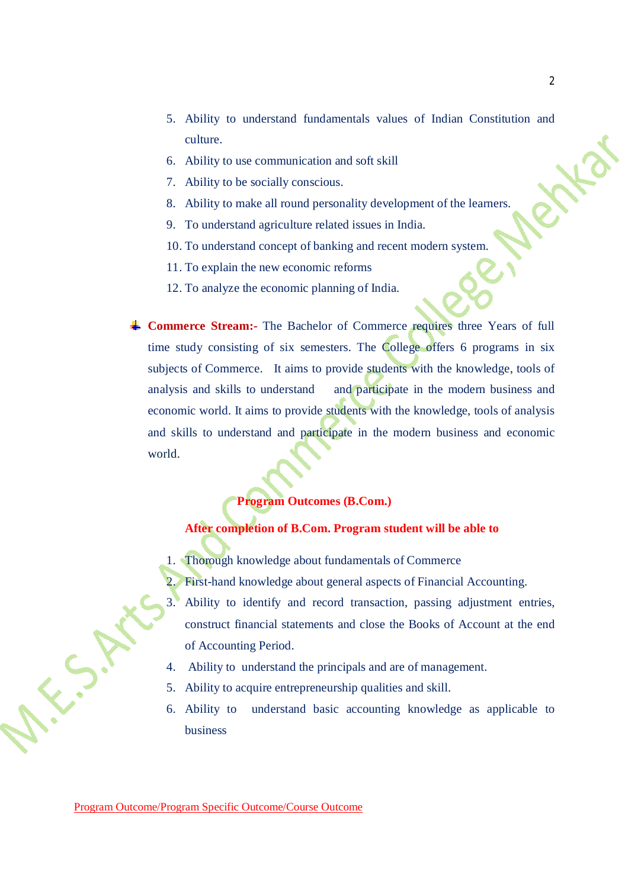- 5. Ability to understand fundamentals values of Indian Constitution and culture.
- 6. Ability to use communication and soft skill
- 7. Ability to be socially conscious.
- 8. Ability to make all round personality development of the learners.
- 9. To understand agriculture related issues in India.
- 10. To understand concept of banking and recent modern system.
- 11. To explain the new economic reforms
- 12. To analyze the economic planning of India.
- **Commerce Stream:-** The Bachelor of Commerce requires three Years of full time study consisting of six semesters. The College offers 6 programs in six subjects of Commerce. It aims to provide students with the knowledge, tools of analysis and skills to understand and participate in the modern business and economic world. It aims to provide students with the knowledge, tools of analysis and skills to understand and participate in the modern business and economic world.

### **Program Outcomes (B.Com.)**

### **After completion of B.Com. Program student will be able to**

- 1. Thorough knowledge about fundamentals of Commerce
- First-hand knowledge about general aspects of Financial Accounting.
- 3. Ability to identify and record transaction, passing adjustment entries, construct financial statements and close the Books of Account at the end of Accounting Period.
- 4. Ability to understand the principals and are of management.
- 5. Ability to acquire entrepreneurship qualities and skill.
- 6. Ability to understand basic accounting knowledge as applicable to business